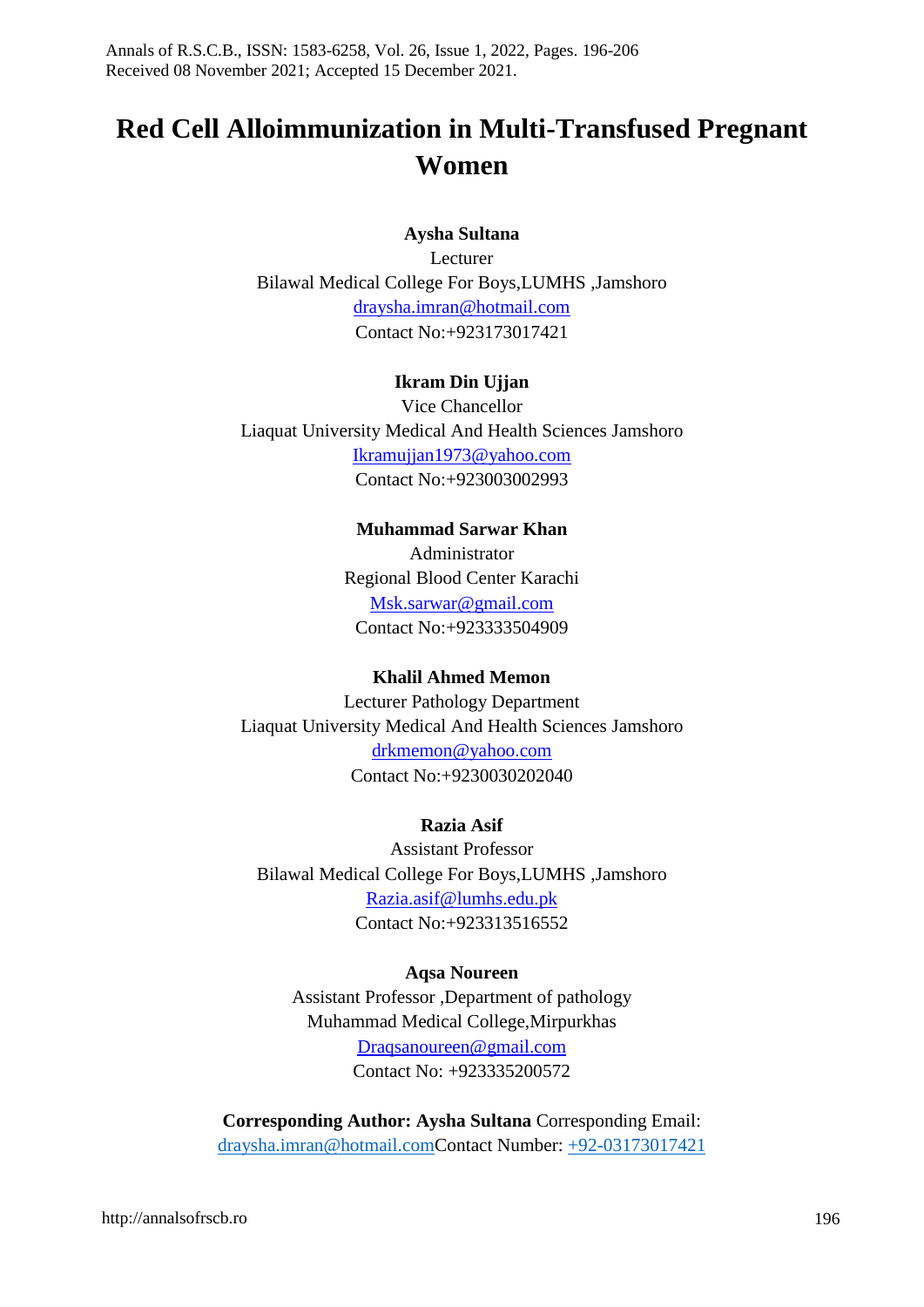# **Red Cell Alloimmunization in Multi-Transfused Pregnant Women**

#### **Aysha Sultana**

Lecturer Bilawal Medical College For Boys,LUMHS ,Jamshoro [draysha.imran@hotmail.com](mailto:draysha.imran@hotmail.com) Contact No:+923173017421

#### **Ikram Din Ujjan**

Vice Chancellor Liaquat University Medical And Health Sciences Jamshoro [Ikramujjan1973@yahoo.com](mailto:Ikramujjan1973@yahoo.com) Contact No:+923003002993

#### **Muhammad Sarwar Khan**

Administrator Regional Blood Center Karachi [Msk.sarwar@gmail.com](mailto:Msk.sarwar@gmail.com) Contact No:+923333504909

#### **Khalil Ahmed Memon**

Lecturer Pathology Department Liaquat University Medical And Health Sciences Jamshoro [drkmemon@yahoo.com](mailto:drkmemon@yahoo.com) Contact No:+9230030202040

#### **Razia Asif**

Assistant Professor Bilawal Medical College For Boys,LUMHS ,Jamshoro [Razia.asif@lumhs.edu.pk](mailto:Razia.asif@lumhs.edu.pk) Contact No:+923313516552

#### **Aqsa Noureen**

Assistant Professor ,Department of pathology Muhammad Medical College,Mirpurkhas [Draqsanoureen@gmail.com](mailto:Draqsanoureen@gmail.com) Contact No: +923335200572

**Corresponding Author: Aysha Sultana** Corresponding Email: [draysha.imran@hotmail.comC](mailto:draysha.imran@hotmail.com)ontact Number: +92-03173017421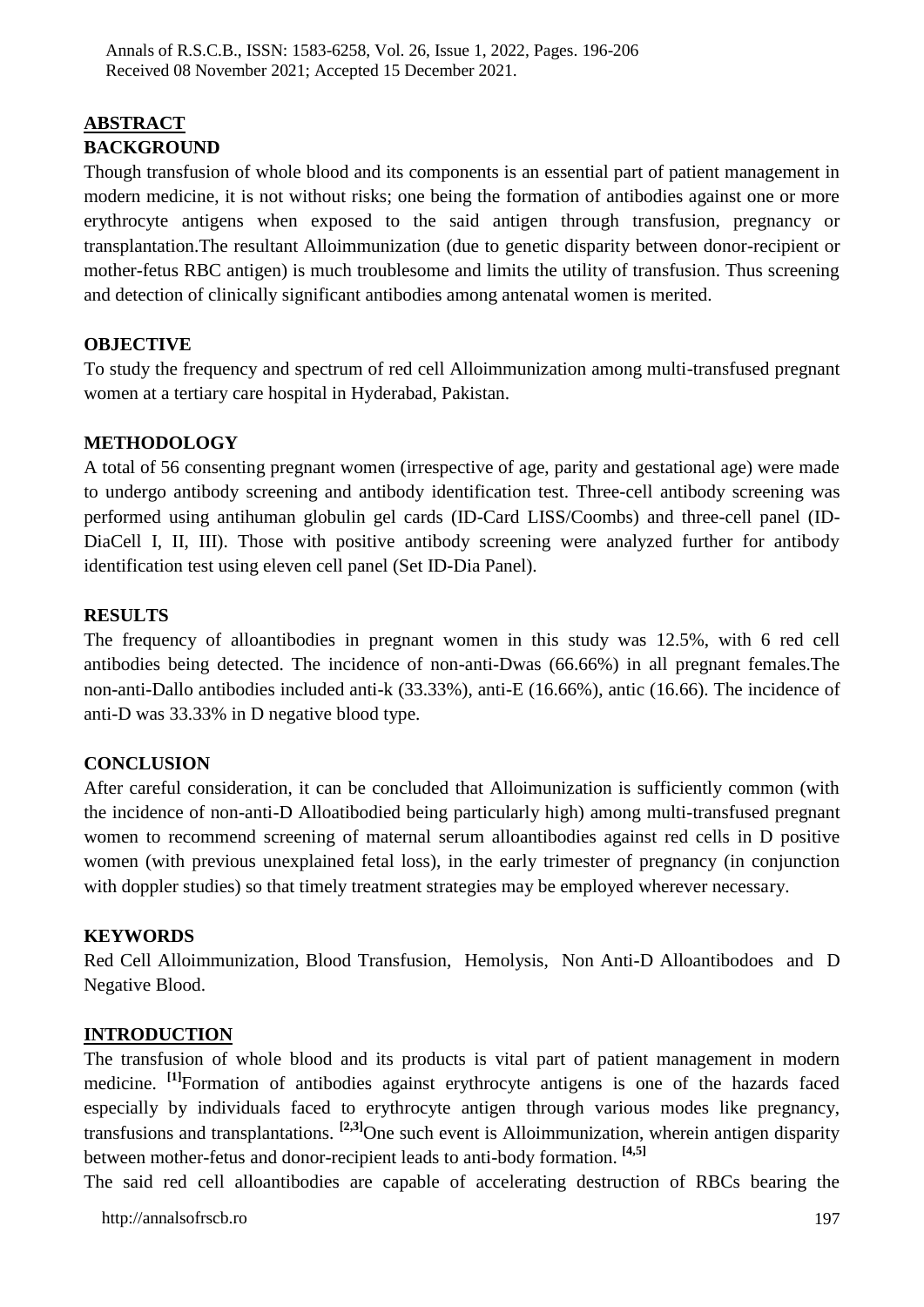#### **ABSTRACT BACKGROUND**

Though transfusion of whole blood and its components is an essential part of patient management in modern medicine, it is not without risks; one being the formation of antibodies against one or more erythrocyte antigens when exposed to the said antigen through transfusion, pregnancy or transplantation.The resultant Alloimmunization (due to genetic disparity between donor-recipient or mother-fetus RBC antigen) is much troublesome and limits the utility of transfusion. Thus screening and detection of clinically significant antibodies among antenatal women is merited.

## **OBJECTIVE**

To study the frequency and spectrum of red cell Alloimmunization among multi-transfused pregnant women at a tertiary care hospital in Hyderabad, Pakistan.

## **METHODOLOGY**

A total of 56 consenting pregnant women (irrespective of age, parity and gestational age) were made to undergo antibody screening and antibody identification test. Three-cell antibody screening was performed using antihuman globulin gel cards (ID-Card LISS/Coombs) and three-cell panel (ID-DiaCell I, II, III). Those with positive antibody screening were analyzed further for antibody identification test using eleven cell panel (Set ID-Dia Panel).

## **RESULTS**

The frequency of alloantibodies in pregnant women in this study was 12.5%, with 6 red cell antibodies being detected. The incidence of non-anti-Dwas (66.66%) in all pregnant females.The non-anti-Dallo antibodies included anti-k (33.33%), anti-E (16.66%), antic (16.66). The incidence of anti-D was 33.33% in D negative blood type.

## **CONCLUSION**

After careful consideration, it can be concluded that Alloimunization is sufficiently common (with the incidence of non-anti-D Alloatibodied being particularly high) among multi-transfused pregnant women to recommend screening of maternal serum alloantibodies against red cells in D positive women (with previous unexplained fetal loss), in the early trimester of pregnancy (in conjunction with doppler studies) so that timely treatment strategies may be employed wherever necessary.

## **KEYWORDS**

Red Cell Alloimmunization, Blood Transfusion, Hemolysis, Non Anti-D Alloantibodoes and D Negative Blood.

## **INTRODUCTION**

The transfusion of whole blood and its products is vital part of patient management in modern medicine. **[1]**Formation of antibodies against erythrocyte antigens is one of the hazards faced especially by individuals faced to erythrocyte antigen through various modes like pregnancy, transfusions and transplantations. **[2,3]**One such event is Alloimmunization, wherein antigen disparity between mother-fetus and donor-recipient leads to anti-body formation. **[4,5]**

The said red cell alloantibodies are capable of accelerating destruction of RBCs bearing the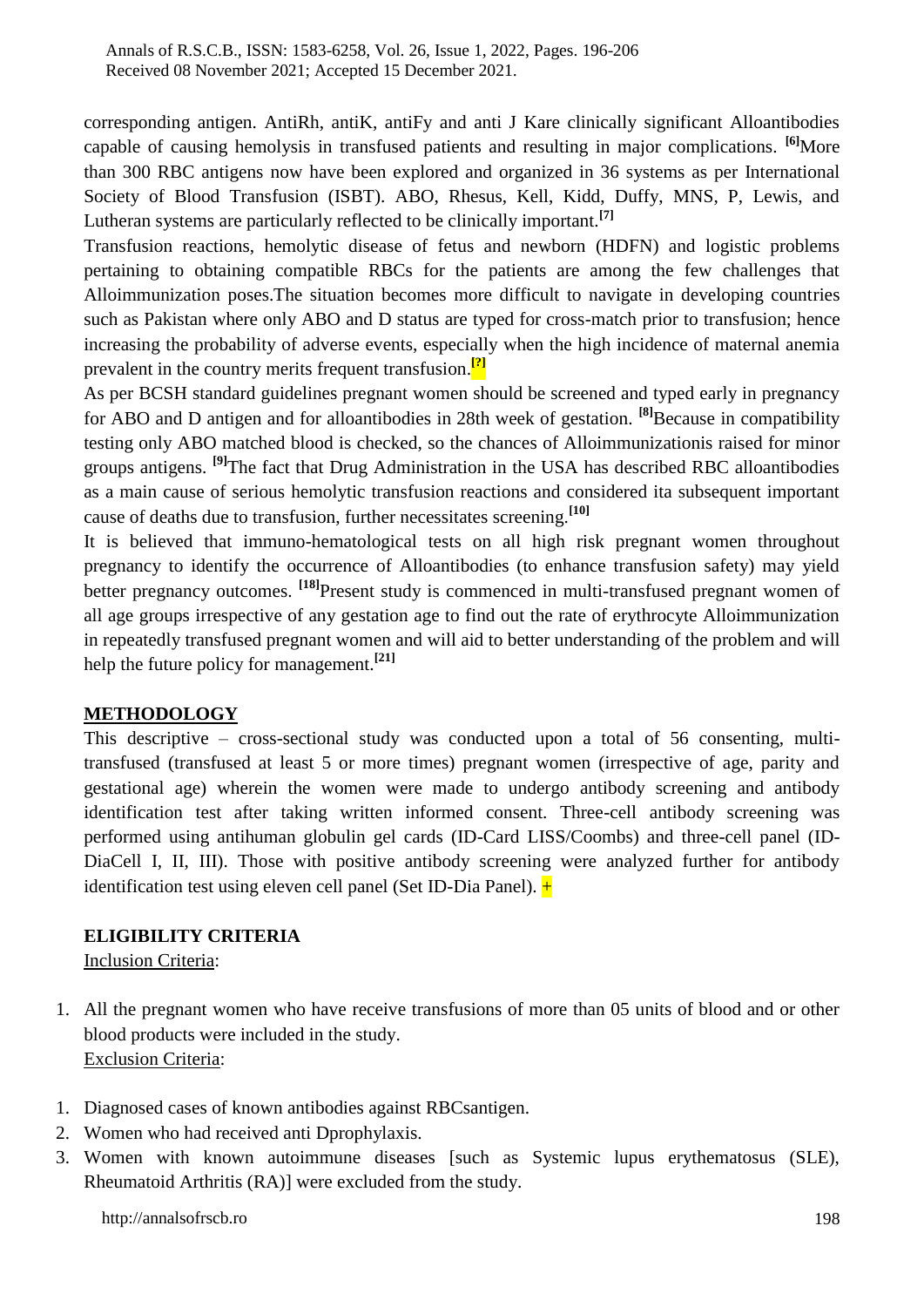corresponding antigen. AntiRh, antiK, antiFy and anti J Kare clinically significant Alloantibodies capable of causing hemolysis in transfused patients and resulting in major complications. **[6]**More than 300 RBC antigens now have been explored and organized in 36 systems as per International Society of Blood Transfusion (ISBT). ABO, Rhesus, Kell, Kidd, Duffy, MNS, P, Lewis, and Lutheran systems are particularly reflected to be clinically important.**[7]**

Transfusion reactions, hemolytic disease of fetus and newborn (HDFN) and logistic problems pertaining to obtaining compatible RBCs for the patients are among the few challenges that Alloimmunization poses.The situation becomes more difficult to navigate in developing countries such as Pakistan where only ABO and D status are typed for cross-match prior to transfusion; hence increasing the probability of adverse events, especially when the high incidence of maternal anemia prevalent in the country merits frequent transfusion. **[?]**

As per BCSH standard guidelines pregnant women should be screened and typed early in pregnancy for ABO and D antigen and for alloantibodies in 28th week of gestation. **[8]**Because in compatibility testing only ABO matched blood is checked, so the chances of Alloimmunizationis raised for minor groups antigens. **[9]**The fact that Drug Administration in the USA has described RBC alloantibodies as a main cause of serious hemolytic transfusion reactions and considered ita subsequent important cause of deaths due to transfusion, further necessitates screening.**[10]**

It is believed that immuno-hematological tests on all high risk pregnant women throughout pregnancy to identify the occurrence of Alloantibodies (to enhance transfusion safety) may yield better pregnancy outcomes. **[18]**Present study is commenced in multi-transfused pregnant women of all age groups irrespective of any gestation age to find out the rate of erythrocyte Alloimmunization in repeatedly transfused pregnant women and will aid to better understanding of the problem and will help the future policy for management.**[21]**

# **METHODOLOGY**

This descriptive – cross-sectional study was conducted upon a total of 56 consenting, multitransfused (transfused at least 5 or more times) pregnant women (irrespective of age, parity and gestational age) wherein the women were made to undergo antibody screening and antibody identification test after taking written informed consent. Three-cell antibody screening was performed using antihuman globulin gel cards (ID-Card LISS/Coombs) and three-cell panel (ID-DiaCell I, II, III). Those with positive antibody screening were analyzed further for antibody identification test using eleven cell panel (Set ID-Dia Panel).  $+$ 

## **ELIGIBILITY CRITERIA**

Inclusion Criteria:

- 1. All the pregnant women who have receive transfusions of more than 05 units of blood and or other blood products were included in the study. Exclusion Criteria:
- 1. Diagnosed cases of known antibodies against RBCsantigen.
- 2. Women who had received anti Dprophylaxis.
- 3. Women with known autoimmune diseases [such as Systemic lupus erythematosus (SLE), Rheumatoid Arthritis (RA)] were excluded from the study.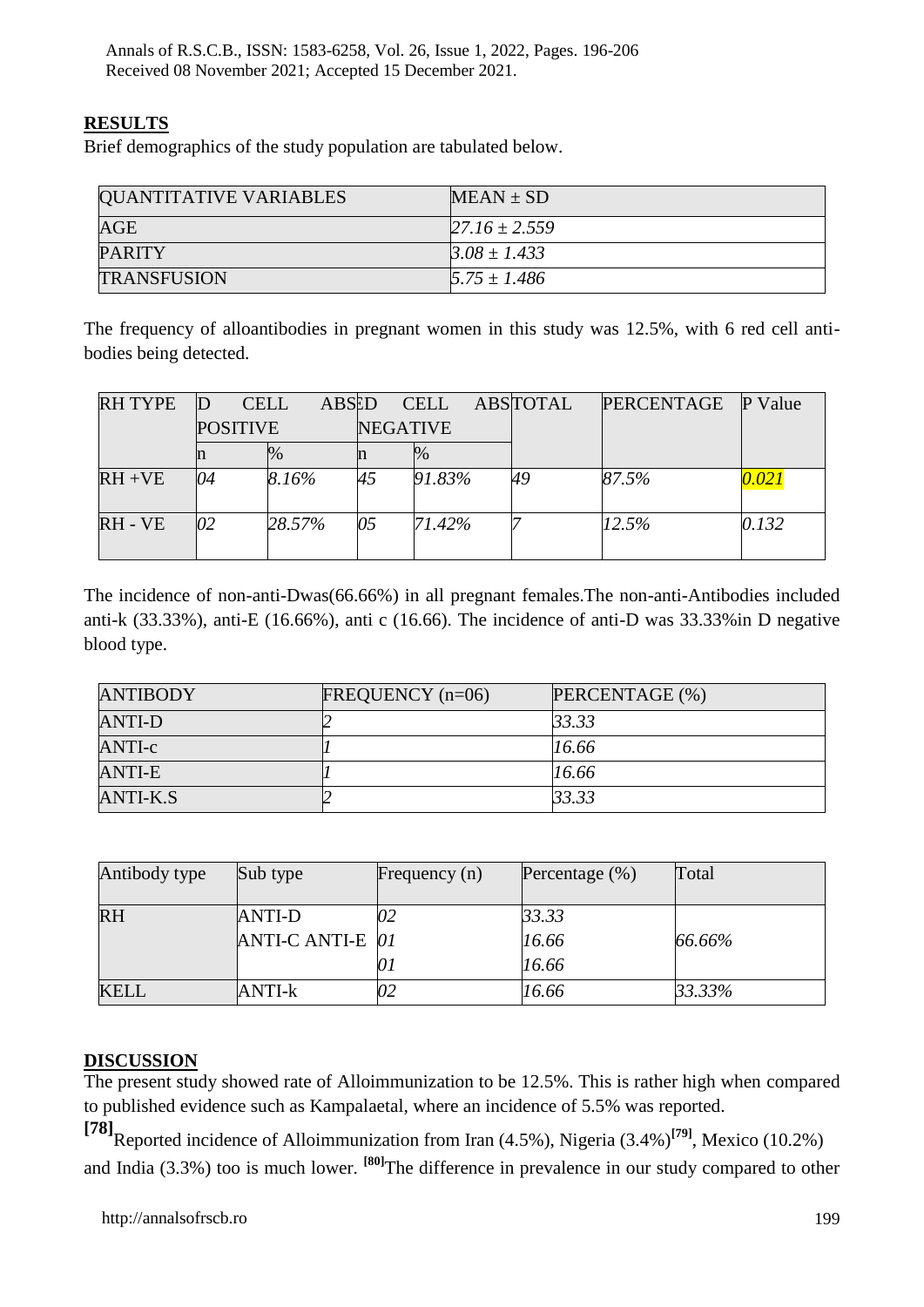## **RESULTS**

Brief demographics of the study population are tabulated below.

| <b>QUANTITATIVE VARIABLES</b> | $MEAN \pm SD$     |
|-------------------------------|-------------------|
| AGE                           | $27.16 \pm 2.559$ |
| PARITY                        | $3.08 \pm 1.433$  |
| <b>TRANSFUSION</b>            | $5.75 \pm 1.486$  |

The frequency of alloantibodies in pregnant women in this study was 12.5%, with 6 red cell antibodies being detected.

| RH TYPE   | <b>CELL</b>     | ABSED  |                 | <b>CELL</b> | ABSTOTAL | <b>PERCENTAGE</b> | P<br>Value |
|-----------|-----------------|--------|-----------------|-------------|----------|-------------------|------------|
|           | <b>POSITIVE</b> |        | <b>NEGATIVE</b> |             |          |                   |            |
|           | n               | $\%$   | m               | $\%$        |          |                   |            |
| $RH + VE$ | 04              | 8.16%  | 45              | 91.83%      | 49       | 87.5%             | 0.021      |
| RH - VE   | 02              | 28.57% | 05              | 71.42%      |          | 12.5%             | 0.132      |

The incidence of non-anti-Dwas(66.66%) in all pregnant females.The non-anti-Antibodies included anti-k (33.33%), anti-E (16.66%), anti c (16.66). The incidence of anti-D was 33.33%in D negative blood type.

| <b>ANTIBODY</b> | FREQUENCY $(n=06)$ | PERCENTAGE (%) |
|-----------------|--------------------|----------------|
| ANTI-D          |                    | 33.33          |
| ANTI-c          |                    | 16.66          |
| <b>ANTI-E</b>   |                    | 16.66          |
| <b>ANTI-K.S</b> |                    | 33.33          |

| Antibody type | Sub type                   | Frequency $(n)$ | Percentage $(\%)$       | Total  |
|---------------|----------------------------|-----------------|-------------------------|--------|
| <b>RH</b>     | ANTI-D<br>ANTI-C ANTI-E 01 |                 | 33.33<br>16.66<br>16.66 | 66.66% |
| <b>KELL</b>   | ANTI-k                     |                 | 16.66                   | 33.33% |

#### **DISCUSSION**

The present study showed rate of Alloimmunization to be 12.5%. This is rather high when compared to published evidence such as Kampalaetal, where an incidence of 5.5% was reported.

**[78]**Reported incidence of Alloimmunization from Iran (4.5%), Nigeria (3.4%)**[79]**, Mexico (10.2%) and India (3.3%) too is much lower. **[80]**The difference in prevalence in our study compared to other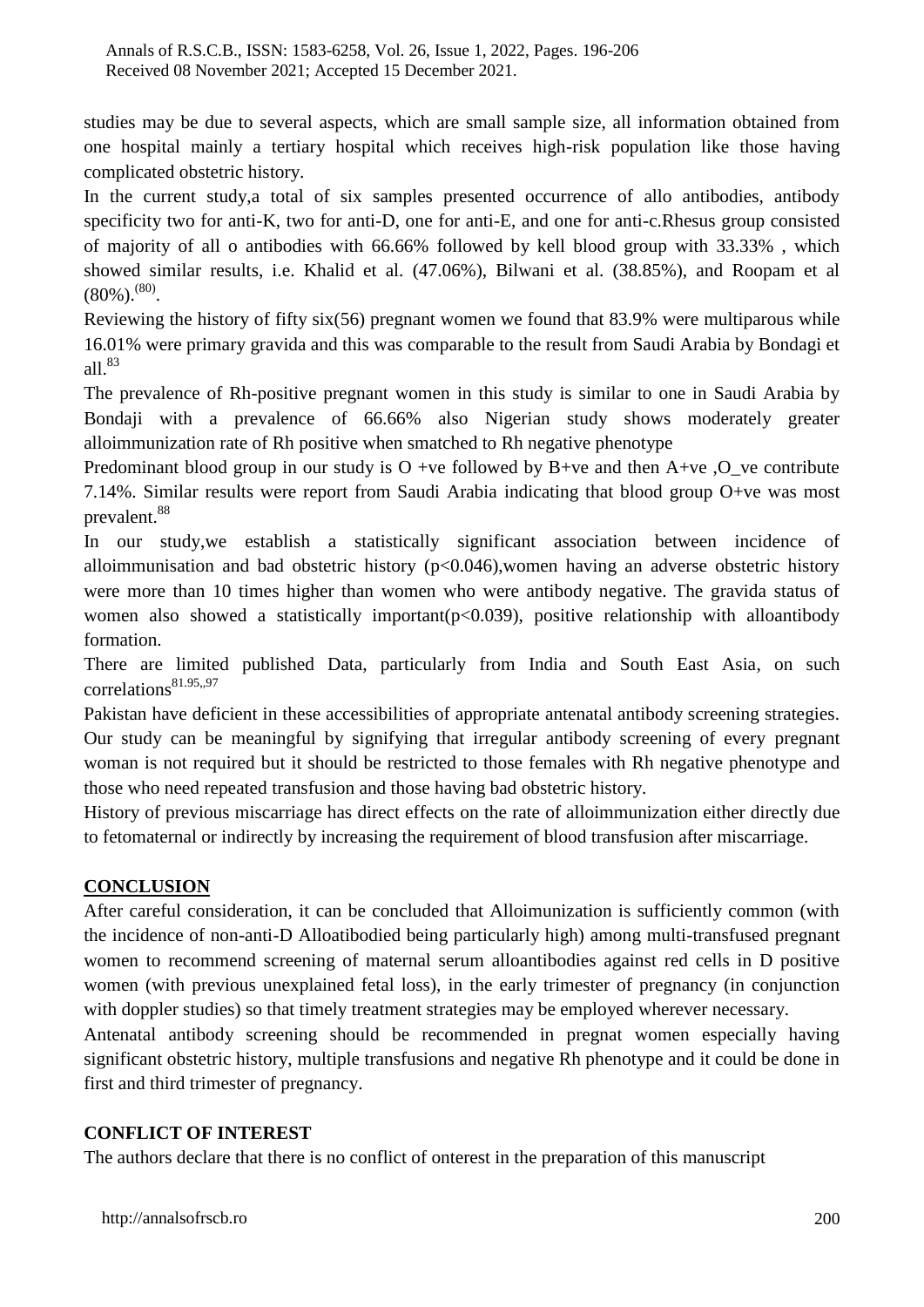studies may be due to several aspects, which are small sample size, all information obtained from one hospital mainly a tertiary hospital which receives high-risk population like those having complicated obstetric history.

In the current study,a total of six samples presented occurrence of allo antibodies, antibody specificity two for anti-K, two for anti-D, one for anti-E, and one for anti-c.Rhesus group consisted of majority of all o antibodies with 66.66% followed by kell blood group with 33.33% , which showed similar results, i.e. Khalid et al. (47.06%), Bilwani et al. (38.85%), and Roopam et al  $(80\%)^{(80)}$ .

Reviewing the history of fifty six(56) pregnant women we found that 83.9% were multiparous while 16.01% were primary gravida and this was comparable to the result from Saudi Arabia by Bondagi et all.<sup>83</sup>

The prevalence of Rh-positive pregnant women in this study is similar to one in Saudi Arabia by Bondaji with a prevalence of 66.66% also Nigerian study shows moderately greater alloimmunization rate of Rh positive when smatched to Rh negative phenotype

Predominant blood group in our study is  $O +ve$  followed by B+ve and then A+ve , O\_ve contribute 7.14%. Similar results were report from Saudi Arabia indicating that blood group O+ve was most prevalent.<sup>88</sup>

In our study,we establish a statistically significant association between incidence of alloimmunisation and bad obstetric history  $(p<0.046)$ , women having an adverse obstetric history were more than 10 times higher than women who were antibody negative. The gravida status of women also showed a statistically important  $(p<0.039)$ , positive relationship with alloantibody formation.

There are limited published Data, particularly from India and South East Asia, on such correlations<sup>81.95</sup>,,97

Pakistan have deficient in these accessibilities of appropriate antenatal antibody screening strategies. Our study can be meaningful by signifying that irregular antibody screening of every pregnant woman is not required but it should be restricted to those females with Rh negative phenotype and those who need repeated transfusion and those having bad obstetric history.

History of previous miscarriage has direct effects on the rate of alloimmunization either directly due to fetomaternal or indirectly by increasing the requirement of blood transfusion after miscarriage.

# **CONCLUSION**

After careful consideration, it can be concluded that Alloimunization is sufficiently common (with the incidence of non-anti-D Alloatibodied being particularly high) among multi-transfused pregnant women to recommend screening of maternal serum alloantibodies against red cells in D positive women (with previous unexplained fetal loss), in the early trimester of pregnancy (in conjunction with doppler studies) so that timely treatment strategies may be employed wherever necessary.

Antenatal antibody screening should be recommended in pregnat women especially having significant obstetric history, multiple transfusions and negative Rh phenotype and it could be done in first and third trimester of pregnancy.

# **CONFLICT OF INTEREST**

The authors declare that there is no conflict of onterest in the preparation of this manuscript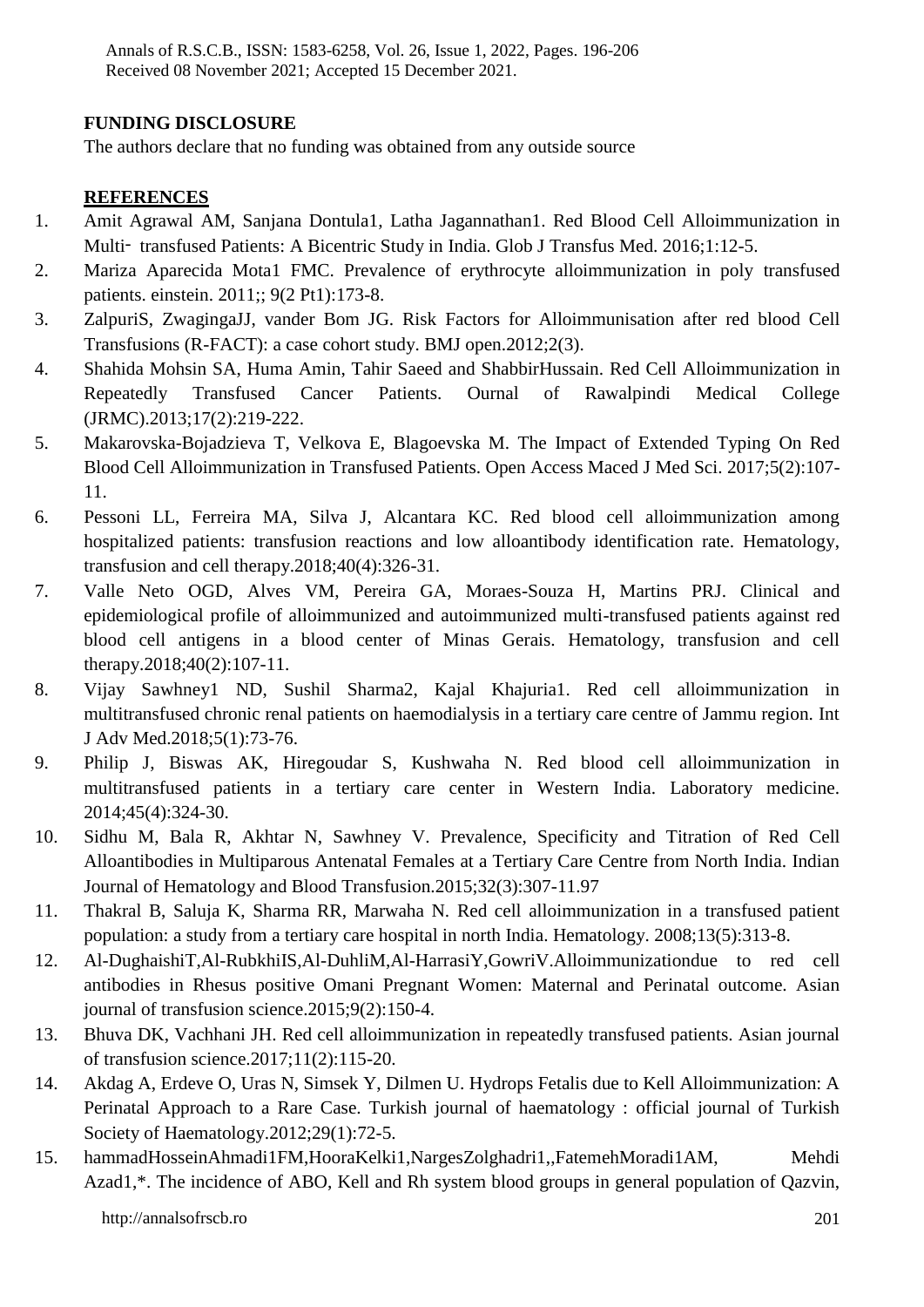#### **FUNDING DISCLOSURE**

The authors declare that no funding was obtained from any outside source

#### **REFERENCES**

- 1. Amit Agrawal AM, Sanjana Dontula1, Latha Jagannathan1. Red Blood Cell Alloimmunization in Multi‑ transfused Patients: A Bicentric Study in India. Glob J Transfus Med. 2016;1:12-5.
- 2. Mariza Aparecida Mota1 FMC. Prevalence of erythrocyte alloimmunization in poly transfused patients. einstein. 2011;; 9(2 Pt1):173-8.
- 3. ZalpuriS, ZwagingaJJ, vander Bom JG. Risk Factors for Alloimmunisation after red blood Cell Transfusions (R-FACT): a case cohort study. BMJ open.2012;2(3).
- 4. Shahida Mohsin SA, Huma Amin, Tahir Saeed and ShabbirHussain. Red Cell Alloimmunization in Repeatedly Transfused Cancer Patients. Ournal of Rawalpindi Medical College (JRMC).2013;17(2):219-222.
- 5. Makarovska-Bojadzieva T, Velkova E, Blagoevska M. The Impact of Extended Typing On Red Blood Cell Alloimmunization in Transfused Patients. Open Access Maced J Med Sci. 2017;5(2):107- 11.
- 6. Pessoni LL, Ferreira MA, Silva J, Alcantara KC. Red blood cell alloimmunization among hospitalized patients: transfusion reactions and low alloantibody identification rate. Hematology, transfusion and cell therapy.2018;40(4):326-31.
- 7. Valle Neto OGD, Alves VM, Pereira GA, Moraes-Souza H, Martins PRJ. Clinical and epidemiological profile of alloimmunized and autoimmunized multi-transfused patients against red blood cell antigens in a blood center of Minas Gerais. Hematology, transfusion and cell therapy.2018;40(2):107-11.
- 8. Vijay Sawhney1 ND, Sushil Sharma2, Kajal Khajuria1. Red cell alloimmunization in multitransfused chronic renal patients on haemodialysis in a tertiary care centre of Jammu region. Int J Adv Med.2018;5(1):73-76.
- 9. Philip J, Biswas AK, Hiregoudar S, Kushwaha N. Red blood cell alloimmunization in multitransfused patients in a tertiary care center in Western India. Laboratory medicine. 2014;45(4):324-30.
- 10. Sidhu M, Bala R, Akhtar N, Sawhney V. Prevalence, Specificity and Titration of Red Cell Alloantibodies in Multiparous Antenatal Females at a Tertiary Care Centre from North India. Indian Journal of Hematology and Blood Transfusion.2015;32(3):307-11.97
- 11. Thakral B, Saluja K, Sharma RR, Marwaha N. Red cell alloimmunization in a transfused patient population: a study from a tertiary care hospital in north India. Hematology. 2008;13(5):313-8.
- 12. Al-DughaishiT,Al-RubkhiIS,Al-DuhliM,Al-HarrasiY,GowriV.Alloimmunizationdue to red cell antibodies in Rhesus positive Omani Pregnant Women: Maternal and Perinatal outcome. Asian journal of transfusion science.2015;9(2):150-4.
- 13. Bhuva DK, Vachhani JH. Red cell alloimmunization in repeatedly transfused patients. Asian journal of transfusion science.2017;11(2):115-20.
- 14. Akdag A, Erdeve O, Uras N, Simsek Y, Dilmen U. Hydrops Fetalis due to Kell Alloimmunization: A Perinatal Approach to a Rare Case. Turkish journal of haematology : official journal of Turkish Society of Haematology.2012;29(1):72-5.
- 15. hammadHosseinAhmadi1FM,HooraKelki1,NargesZolghadri1,,FatemehMoradi1AM, Mehdi Azad1,\*. The incidence of ABO, Kell and Rh system blood groups in general population of Qazvin,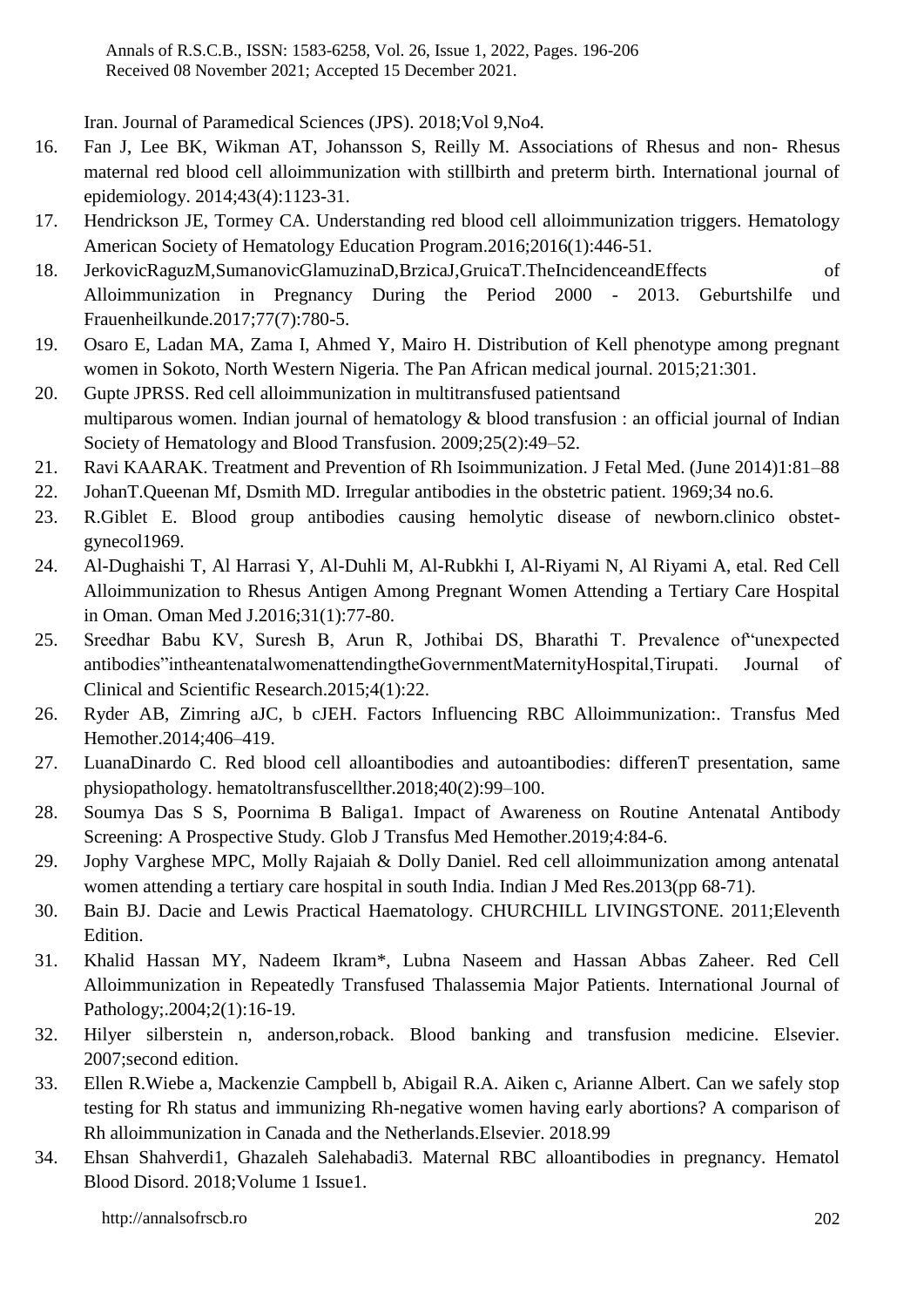Iran. Journal of Paramedical Sciences (JPS). 2018;Vol 9,No4.

- 16. Fan J, Lee BK, Wikman AT, Johansson S, Reilly M. Associations of Rhesus and non- Rhesus maternal red blood cell alloimmunization with stillbirth and preterm birth. International journal of epidemiology. 2014;43(4):1123-31.
- 17. Hendrickson JE, Tormey CA. Understanding red blood cell alloimmunization triggers. Hematology American Society of Hematology Education Program.2016;2016(1):446-51.
- 18. JerkovicRaguzM,SumanovicGlamuzinaD,BrzicaJ,GruicaT.TheIncidenceandEffects of Alloimmunization in Pregnancy During the Period 2000 - 2013. Geburtshilfe und Frauenheilkunde.2017;77(7):780-5.
- 19. Osaro E, Ladan MA, Zama I, Ahmed Y, Mairo H. Distribution of Kell phenotype among pregnant women in Sokoto, North Western Nigeria. The Pan African medical journal. 2015;21:301.
- 20. Gupte JPRSS. Red cell alloimmunization in multitransfused patientsand multiparous women. Indian journal of hematology & blood transfusion : an official journal of Indian Society of Hematology and Blood Transfusion. 2009;25(2):49–52.
- 21. Ravi KAARAK. Treatment and Prevention of Rh Isoimmunization. J Fetal Med. (June 2014)1:81–88
- 22. JohanT.Queenan Mf, Dsmith MD. Irregular antibodies in the obstetric patient. 1969;34 no.6.
- 23. R.Giblet E. Blood group antibodies causing hemolytic disease of newborn.clinico obstetgynecol1969.
- 24. Al-Dughaishi T, Al Harrasi Y, Al-Duhli M, Al-Rubkhi I, Al-Riyami N, Al Riyami A, etal. Red Cell Alloimmunization to Rhesus Antigen Among Pregnant Women Attending a Tertiary Care Hospital in Oman. Oman Med J.2016;31(1):77-80.
- 25. Sreedhar Babu KV, Suresh B, Arun R, Jothibai DS, Bharathi T. Prevalence of"unexpected antibodies"intheantenatalwomenattendingtheGovernmentMaternityHospital,Tirupati. Journal of Clinical and Scientific Research.2015;4(1):22.
- 26. Ryder AB, Zimring aJC, b cJEH. Factors Influencing RBC Alloimmunization:. Transfus Med Hemother.2014;406–419.
- 27. LuanaDinardo C. Red blood cell alloantibodies and autoantibodies: differenT presentation, same physiopathology. hematoltransfuscellther.2018;40(2):99–100.
- 28. Soumya Das S S, Poornima B Baliga1. Impact of Awareness on Routine Antenatal Antibody Screening: A Prospective Study. Glob J Transfus Med Hemother.2019;4:84-6.
- 29. Jophy Varghese MPC, Molly Rajaiah & Dolly Daniel. Red cell alloimmunization among antenatal women attending a tertiary care hospital in south India. Indian J Med Res.2013(pp 68-71).
- 30. Bain BJ. Dacie and Lewis Practical Haematology. CHURCHILL LIVINGSTONE. 2011;Eleventh Edition.
- 31. Khalid Hassan MY, Nadeem Ikram\*, Lubna Naseem and Hassan Abbas Zaheer. Red Cell Alloimmunization in Repeatedly Transfused Thalassemia Major Patients. International Journal of Pathology;.2004;2(1):16-19.
- 32. Hilyer silberstein n, anderson,roback. Blood banking and transfusion medicine. Elsevier. 2007;second edition.
- 33. Ellen R.Wiebe a, Mackenzie Campbell b, Abigail R.A. Aiken c, Arianne Albert. Can we safely stop testing for Rh status and immunizing Rh-negative women having early abortions? A comparison of Rh alloimmunization in Canada and the Netherlands.Elsevier. 2018.99
- 34. Ehsan Shahverdi1, Ghazaleh Salehabadi3. Maternal RBC alloantibodies in pregnancy. Hematol Blood Disord. 2018;Volume 1 Issue1.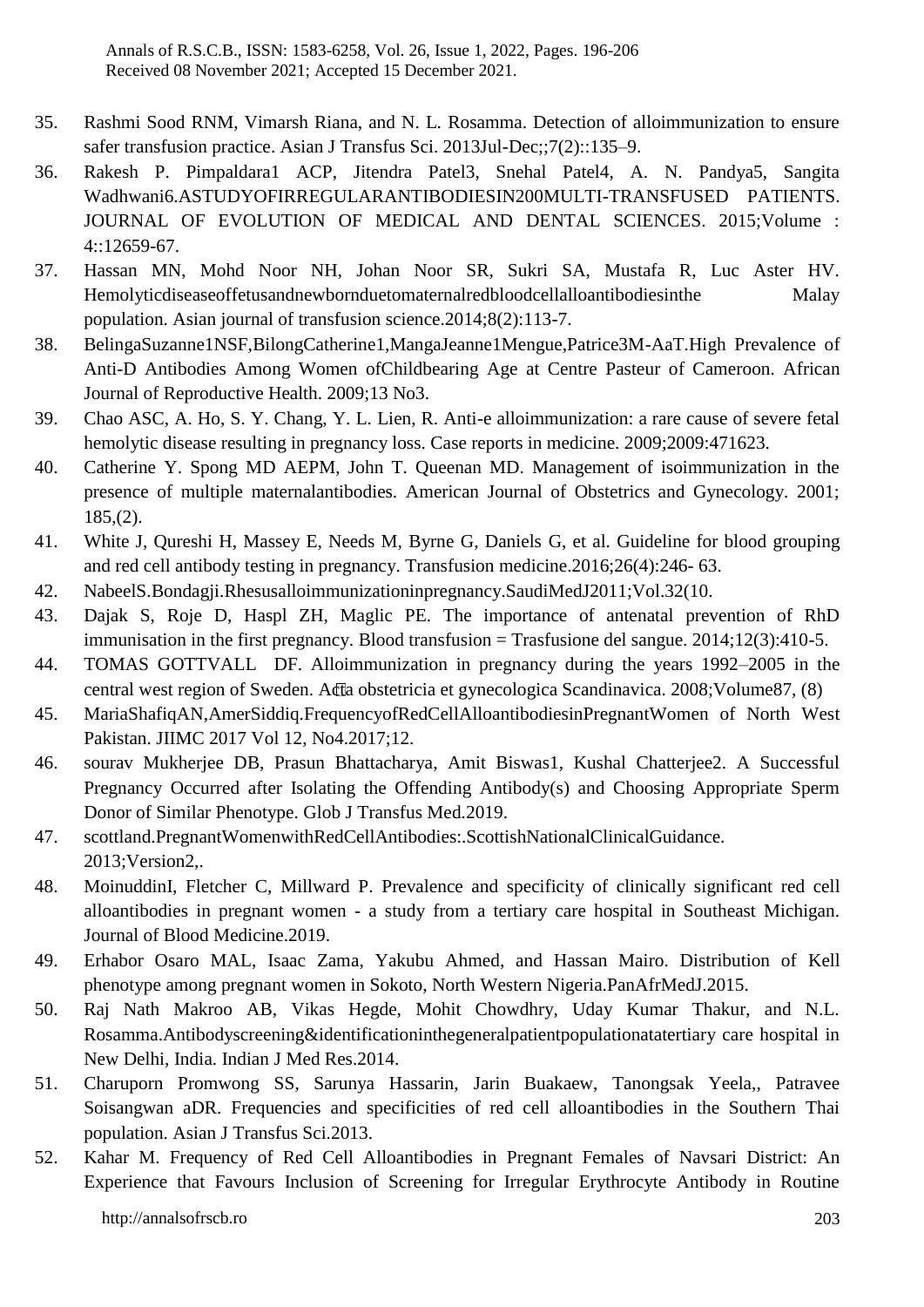- 35. Rashmi Sood RNM, Vimarsh Riana, and N. L. Rosamma. Detection of alloimmunization to ensure safer transfusion practice. Asian J Transfus Sci. 2013Jul-Dec;;7(2)::135–9.
- 36. Rakesh P. Pimpaldara1 ACP, Jitendra Patel3, Snehal Patel4, A. N. Pandya5, Sangita Wadhwani6.ASTUDYOFIRREGULARANTIBODIESIN200MULTI-TRANSFUSED PATIENTS. JOURNAL OF EVOLUTION OF MEDICAL AND DENTAL SCIENCES. 2015;Volume : 4::12659-67.
- 37. Hassan MN, Mohd Noor NH, Johan Noor SR, Sukri SA, Mustafa R, Luc Aster HV. Hemolyticdiseaseoffetusandnewbornduetomaternalredbloodcellalloantibodiesinthe Malay population. Asian journal of transfusion science.2014;8(2):113-7.
- 38. BelingaSuzanne1NSF,BilongCatherine1,MangaJeanne1Mengue,Patrice3M-AaT.High Prevalence of Anti-D Antibodies Among Women ofChildbearing Age at Centre Pasteur of Cameroon. African Journal of Reproductive Health. 2009;13 No3.
- 39. Chao ASC, A. Ho, S. Y. Chang, Y. L. Lien, R. Anti-e alloimmunization: a rare cause of severe fetal hemolytic disease resulting in pregnancy loss. Case reports in medicine. 2009;2009:471623.
- 40. Catherine Y. Spong MD AEPM, John T. Queenan MD. Management of isoimmunization in the presence of multiple maternalantibodies. American Journal of Obstetrics and Gynecology. 2001;  $185,(2)$ .
- 41. White J, Qureshi H, Massey E, Needs M, Byrne G, Daniels G, et al. Guideline for blood grouping and red cell antibody testing in pregnancy. Transfusion medicine.2016;26(4):246- 63.
- 42. NabeelS.Bondagji.Rhesusalloimmunizationinpregnancy.SaudiMedJ2011;Vol.32(10.
- 43. Dajak S, Roje D, Haspl ZH, Maglic PE. The importance of antenatal prevention of RhD immunisation in the first pregnancy. Blood transfusion = Trasfusione del sangue.  $2014:12(3):410-5$ .
- 44. TOMAS GOTTVALL DF. Alloimmunization in pregnancy during the years 1992–2005 in the central west region of Sweden. Acta obstetricia et gynecologica Scandinavica. 2008;Volume87, (8)
- 45. MariaShafiqAN,AmerSiddiq.FrequencyofRedCellAlloantibodiesinPregnantWomen of North West Pakistan. JIIMC 2017 Vol 12, No4.2017;12.
- 46. sourav Mukherjee DB, Prasun Bhattacharya, Amit Biswas1, Kushal Chatterjee2. A Successful Pregnancy Occurred after Isolating the Offending Antibody(s) and Choosing Appropriate Sperm Donor of Similar Phenotype. Glob J Transfus Med.2019.
- 47. scottland.PregnantWomenwithRedCellAntibodies:.ScottishNationalClinicalGuidance. 2013;Version2,.
- 48. MoinuddinI, Fletcher C, Millward P. Prevalence and specificity of clinically significant red cell alloantibodies in pregnant women - a study from a tertiary care hospital in Southeast Michigan. Journal of Blood Medicine.2019.
- 49. Erhabor Osaro MAL, Isaac Zama, Yakubu Ahmed, and Hassan Mairo. Distribution of Kell phenotype among pregnant women in Sokoto, North Western Nigeria.PanAfrMedJ.2015.
- 50. Raj Nath Makroo AB, Vikas Hegde, Mohit Chowdhry, Uday Kumar Thakur, and N.L. Rosamma.Antibodyscreening&identificationinthegeneralpatientpopulationatatertiary care hospital in New Delhi, India. Indian J Med Res.2014.
- 51. Charuporn Promwong SS, Sarunya Hassarin, Jarin Buakaew, Tanongsak Yeela,, Patravee Soisangwan aDR. Frequencies and specificities of red cell alloantibodies in the Southern Thai population. Asian J Transfus Sci.2013.
- 52. Kahar M. Frequency of Red Cell Alloantibodies in Pregnant Females of Navsari District: An Experience that Favours Inclusion of Screening for Irregular Erythrocyte Antibody in Routine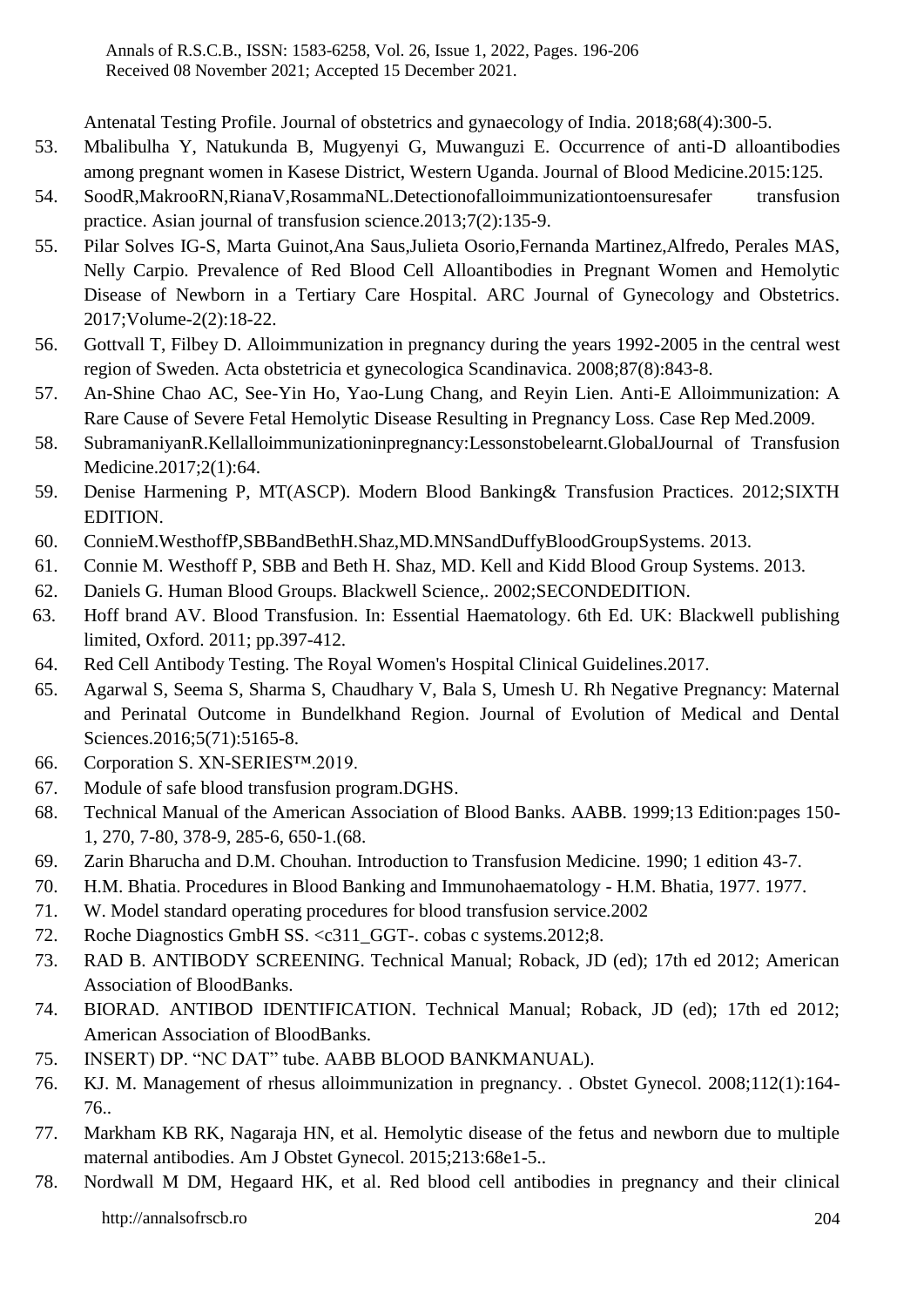Antenatal Testing Profile. Journal of obstetrics and gynaecology of India. 2018;68(4):300-5.

- 53. Mbalibulha Y, Natukunda B, Mugyenyi G, Muwanguzi E. Occurrence of anti-D alloantibodies among pregnant women in Kasese District, Western Uganda. Journal of Blood Medicine.2015:125.
- 54. SoodR,MakrooRN,RianaV,RosammaNL.Detectionofalloimmunizationtoensuresafer transfusion practice. Asian journal of transfusion science.2013;7(2):135-9.
- 55. Pilar Solves IG-S, Marta Guinot,Ana Saus,Julieta Osorio,Fernanda Martinez,Alfredo, Perales MAS, Nelly Carpio. Prevalence of Red Blood Cell Alloantibodies in Pregnant Women and Hemolytic Disease of Newborn in a Tertiary Care Hospital. ARC Journal of Gynecology and Obstetrics. 2017;Volume-2(2):18-22.
- 56. Gottvall T, Filbey D. Alloimmunization in pregnancy during the years 1992-2005 in the central west region of Sweden. Acta obstetricia et gynecologica Scandinavica. 2008;87(8):843-8.
- 57. An-Shine Chao AC, See-Yin Ho, Yao-Lung Chang, and Reyin Lien. Anti-E Alloimmunization: A Rare Cause of Severe Fetal Hemolytic Disease Resulting in Pregnancy Loss. Case Rep Med.2009.
- 58. SubramaniyanR.Kellalloimmunizationinpregnancy:Lessonstobelearnt.GlobalJournal of Transfusion Medicine.2017;2(1):64.
- 59. Denise Harmening P, MT(ASCP). Modern Blood Banking& Transfusion Practices. 2012;SIXTH EDITION.
- 60. ConnieM.WesthoffP,SBBandBethH.Shaz,MD.MNSandDuffyBloodGroupSystems. 2013.
- 61. Connie M. Westhoff P, SBB and Beth H. Shaz, MD. Kell and Kidd Blood Group Systems. 2013.
- 62. Daniels G. Human Blood Groups. Blackwell Science,. 2002;SECONDEDITION.
- 63. Hoff brand AV. Blood Transfusion. In: Essential Haematology. 6th Ed. UK: Blackwell publishing limited, Oxford. 2011; pp.397-412.
- 64. Red Cell Antibody Testing. The Royal Women's Hospital Clinical Guidelines.2017.
- 65. Agarwal S, Seema S, Sharma S, Chaudhary V, Bala S, Umesh U. Rh Negative Pregnancy: Maternal and Perinatal Outcome in Bundelkhand Region. Journal of Evolution of Medical and Dental Sciences.2016;5(71):5165-8.
- 66. Corporation S. XN-SERIES™.2019.
- 67. Module of safe blood transfusion program.DGHS.
- 68. Technical Manual of the American Association of Blood Banks. AABB. 1999;13 Edition:pages 150- 1, 270, 7-80, 378-9, 285-6, 650-1.(68.
- 69. Zarin Bharucha and D.M. Chouhan. Introduction to Transfusion Medicine. 1990; 1 edition 43-7.
- 70. H.M. Bhatia. Procedures in Blood Banking and Immunohaematology H.M. Bhatia, 1977. 1977.
- 71. W. Model standard operating procedures for blood transfusion service.2002
- 72. Roche Diagnostics GmbH SS. <c311 GGT-. cobas c systems.2012;8.
- 73. RAD B. ANTIBODY SCREENING. Technical Manual; Roback, JD (ed); 17th ed 2012; American Association of BloodBanks.
- 74. BIORAD. ANTIBOD IDENTIFICATION. Technical Manual; Roback, JD (ed); 17th ed 2012; American Association of BloodBanks.
- 75. INSERT) DP. "NC DAT" tube. AABB BLOOD BANKMANUAL).
- 76. KJ. M. Management of rhesus alloimmunization in pregnancy. . Obstet Gynecol. 2008;112(1):164- 76..
- 77. Markham KB RK, Nagaraja HN, et al. Hemolytic disease of the fetus and newborn due to multiple maternal antibodies. Am J Obstet Gynecol. 2015;213:68e1-5..
- http://annalsofrscb.ro 204 78. Nordwall M DM, Hegaard HK, et al. Red blood cell antibodies in pregnancy and their clinical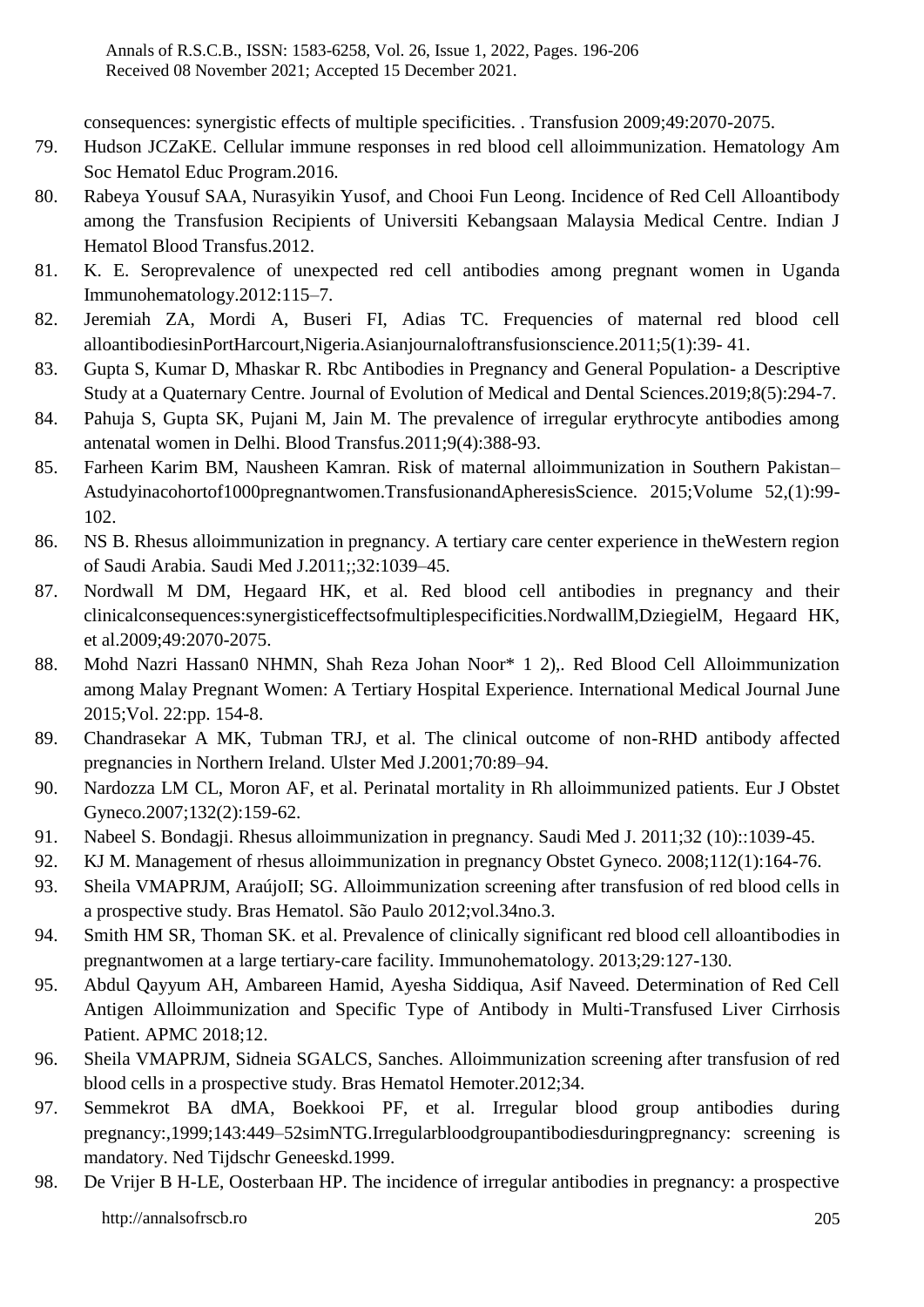consequences: synergistic effects of multiple specificities. . Transfusion 2009;49:2070-2075.

- 79. Hudson JCZaKE. Cellular immune responses in red blood cell alloimmunization. Hematology Am Soc Hematol Educ Program.2016.
- 80. Rabeya Yousuf SAA, Nurasyikin Yusof, and Chooi Fun Leong. Incidence of Red Cell Alloantibody among the Transfusion Recipients of Universiti Kebangsaan Malaysia Medical Centre. Indian J Hematol Blood Transfus.2012.
- 81. K. E. Seroprevalence of unexpected red cell antibodies among pregnant women in Uganda Immunohematology.2012:115–7.
- 82. Jeremiah ZA, Mordi A, Buseri FI, Adias TC. Frequencies of maternal red blood cell alloantibodiesinPortHarcourt,Nigeria.Asianjournaloftransfusionscience.2011;5(1):39- 41.
- 83. Gupta S, Kumar D, Mhaskar R. Rbc Antibodies in Pregnancy and General Population- a Descriptive Study at a Quaternary Centre. Journal of Evolution of Medical and Dental Sciences.2019;8(5):294-7.
- 84. Pahuja S, Gupta SK, Pujani M, Jain M. The prevalence of irregular erythrocyte antibodies among antenatal women in Delhi. Blood Transfus.2011;9(4):388-93.
- 85. Farheen Karim BM, Nausheen Kamran. Risk of maternal alloimmunization in Southern Pakistan– Astudyinacohortof1000pregnantwomen.TransfusionandApheresisScience. 2015;Volume 52,(1):99- 102.
- 86. NS B. Rhesus alloimmunization in pregnancy. A tertiary care center experience in theWestern region of Saudi Arabia. Saudi Med J.2011;;32:1039–45.
- 87. Nordwall M DM, Hegaard HK, et al. Red blood cell antibodies in pregnancy and their clinicalconsequences:synergisticeffectsofmultiplespecificities.NordwallM,DziegielM, Hegaard HK, et al.2009;49:2070-2075.
- 88. Mohd Nazri Hassan0 NHMN, Shah Reza Johan Noor\* 1 2),. Red Blood Cell Alloimmunization among Malay Pregnant Women: A Tertiary Hospital Experience. International Medical Journal June 2015;Vol. 22:pp. 154-8.
- 89. Chandrasekar A MK, Tubman TRJ, et al. The clinical outcome of non-RHD antibody affected pregnancies in Northern Ireland. Ulster Med J.2001;70:89–94.
- 90. Nardozza LM CL, Moron AF, et al. Perinatal mortality in Rh alloimmunized patients. Eur J Obstet Gyneco.2007;132(2):159-62.
- 91. Nabeel S. Bondagji. Rhesus alloimmunization in pregnancy. Saudi Med J. 2011;32 (10)::1039-45.
- 92. KJ M. Management of rhesus alloimmunization in pregnancy Obstet Gyneco. 2008;112(1):164-76.
- 93. Sheila VMAPRJM, AraújoII; SG. Alloimmunization screening after transfusion of red blood cells in a prospective study. Bras Hematol. São Paulo 2012;vol.34no.3.
- 94. Smith HM SR, Thoman SK. et al. Prevalence of clinically significant red blood cell alloantibodies in pregnantwomen at a large tertiary-care facility. Immunohematology. 2013;29:127-130.
- 95. Abdul Qayyum AH, Ambareen Hamid, Ayesha Siddiqua, Asif Naveed. Determination of Red Cell Antigen Alloimmunization and Specific Type of Antibody in Multi-Transfused Liver Cirrhosis Patient. APMC 2018;12.
- 96. Sheila VMAPRJM, Sidneia SGALCS, Sanches. Alloimmunization screening after transfusion of red blood cells in a prospective study. Bras Hematol Hemoter.2012;34.
- 97. Semmekrot BA dMA, Boekkooi PF, et al. Irregular blood group antibodies during pregnancy:,1999;143:449–52simNTG.Irregularbloodgroupantibodiesduringpregnancy: screening is mandatory. Ned Tijdschr Geneeskd.1999.
- http://annalsofrscb.ro 205 98. De Vrijer B H-LE, Oosterbaan HP. The incidence of irregular antibodies in pregnancy: a prospective